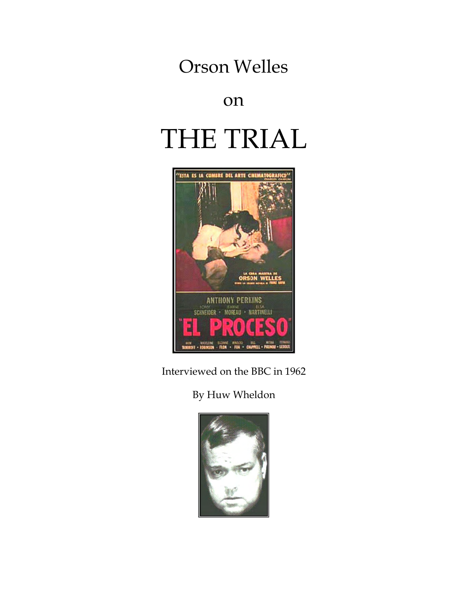## Orson Welles

## on

# THE TRIAL



Interviewed on the BBC in 1962

### By Huw Wheldon

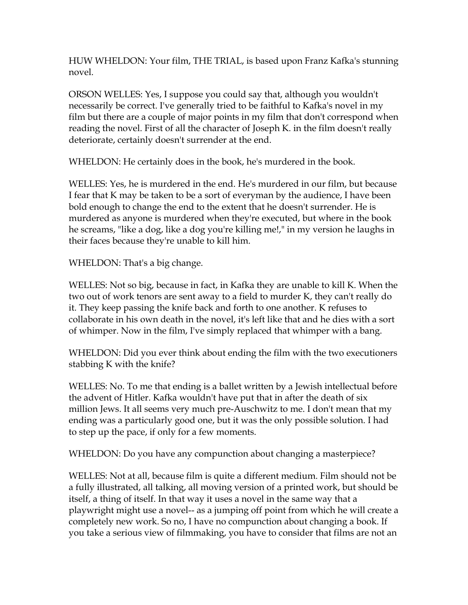HUW WHELDON: Your film, THE TRIAL, is based upon Franz Kafka's stunning novel.

ORSON WELLES: Yes, I suppose you could say that, although you wouldn't necessarily be correct. I've generally tried to be faithful to Kafka's novel in my film but there are a couple of major points in my film that don't correspond when reading the novel. First of all the character of Joseph K. in the film doesn't really deteriorate, certainly doesn't surrender at the end.

WHELDON: He certainly does in the book, he's murdered in the book.

WELLES: Yes, he is murdered in the end. He's murdered in our film, but because I fear that K may be taken to be a sort of everyman by the audience, I have been bold enough to change the end to the extent that he doesn't surrender. He is murdered as anyone is murdered when they're executed, but where in the book he screams, "like a dog, like a dog you're killing me!," in my version he laughs in their faces because they're unable to kill him.

WHELDON: That's a big change.

WELLES: Not so big, because in fact, in Kafka they are unable to kill K. When the two out of work tenors are sent away to a field to murder K, they can't really do it. They keep passing the knife back and forth to one another. K refuses to collaborate in his own death in the novel, it's left like that and he dies with a sort of whimper. Now in the film, I've simply replaced that whimper with a bang.

WHELDON: Did you ever think about ending the film with the two executioners stabbing K with the knife?

WELLES: No. To me that ending is a ballet written by a Jewish intellectual before the advent of Hitler. Kafka wouldn't have put that in after the death of six million Jews. It all seems very much pre-Auschwitz to me. I don't mean that my ending was a particularly good one, but it was the only possible solution. I had to step up the pace, if only for a few moments.

WHELDON: Do you have any compunction about changing a masterpiece?

WELLES: Not at all, because film is quite a different medium. Film should not be a fully illustrated, all talking, all moving version of a printed work, but should be itself, a thing of itself. In that way it uses a novel in the same way that a playwright might use a novel-- as a jumping off point from which he will create a completely new work. So no, I have no compunction about changing a book. If you take a serious view of filmmaking, you have to consider that films are not an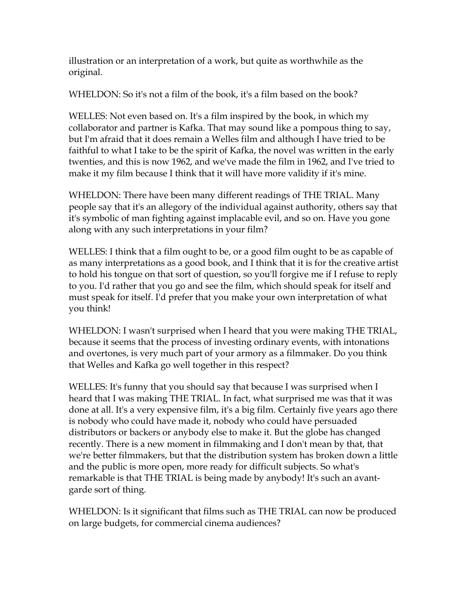illustration or an interpretation of a work, but quite as worthwhile as the original.

WHELDON: So it's not a film of the book, it's a film based on the book?

WELLES: Not even based on. It's a film inspired by the book, in which my collaborator and partner is Kafka. That may sound like a pompous thing to say, but I'm afraid that it does remain a Welles film and although I have tried to be faithful to what I take to be the spirit of Kafka, the novel was written in the early twenties, and this is now 1962, and we've made the film in 1962, and I've tried to make it my film because I think that it will have more validity if it's mine.

WHELDON: There have been many different readings of THE TRIAL. Many people say that it's an allegory of the individual against authority, others say that it's symbolic of man fighting against implacable evil, and so on. Have you gone along with any such interpretations in your film?

WELLES: I think that a film ought to be, or a good film ought to be as capable of as many interpretations as a good book, and I think that it is for the creative artist to hold his tongue on that sort of question, so you'll forgive me if I refuse to reply to you. I'd rather that you go and see the film, which should speak for itself and must speak for itself. I'd prefer that you make your own interpretation of what you think!

WHELDON: I wasn't surprised when I heard that you were making THE TRIAL, because it seems that the process of investing ordinary events, with intonations and overtones, is very much part of your armory as a filmmaker. Do you think that Welles and Kafka go well together in this respect?

WELLES: It's funny that you should say that because I was surprised when I heard that I was making THE TRIAL. In fact, what surprised me was that it was done at all. It's a very expensive film, it's a big film. Certainly five years ago there is nobody who could have made it, nobody who could have persuaded distributors or backers or anybody else to make it. But the globe has changed recently. There is a new moment in filmmaking and I don't mean by that, that we're better filmmakers, but that the distribution system has broken down a little and the public is more open, more ready for difficult subjects. So what's remarkable is that THE TRIAL is being made by anybody! It's such an avantgarde sort of thing.

WHELDON: Is it significant that films such as THE TRIAL can now be produced on large budgets, for commercial cinema audiences?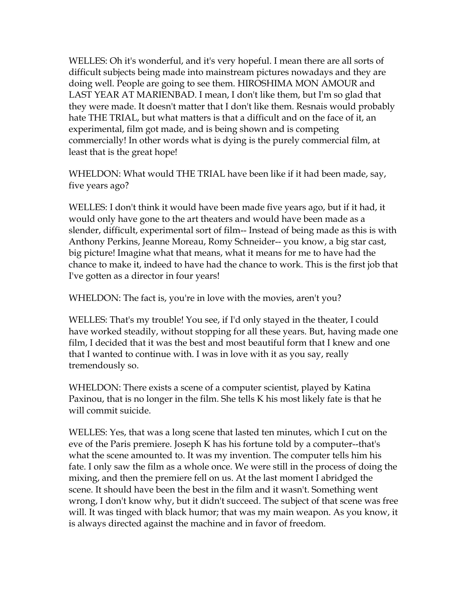WELLES: Oh it's wonderful, and it's very hopeful. I mean there are all sorts of difficult subjects being made into mainstream pictures nowadays and they are doing well. People are going to see them. HIROSHIMA MON AMOUR and LAST YEAR AT MARIENBAD. I mean, I don't like them, but I'm so glad that they were made. It doesn't matter that I don't like them. Resnais would probably hate THE TRIAL, but what matters is that a difficult and on the face of it, an experimental, film got made, and is being shown and is competing commercially! In other words what is dying is the purely commercial film, at least that is the great hope!

WHELDON: What would THE TRIAL have been like if it had been made, say, five years ago?

WELLES: I don't think it would have been made five years ago, but if it had, it would only have gone to the art theaters and would have been made as a slender, difficult, experimental sort of film-- Instead of being made as this is with Anthony Perkins, Jeanne Moreau, Romy Schneider-- you know, a big star cast, big picture! Imagine what that means, what it means for me to have had the chance to make it, indeed to have had the chance to work. This is the first job that I've gotten as a director in four years!

WHELDON: The fact is, you're in love with the movies, aren't you?

WELLES: That's my trouble! You see, if I'd only stayed in the theater, I could have worked steadily, without stopping for all these years. But, having made one film, I decided that it was the best and most beautiful form that I knew and one that I wanted to continue with. I was in love with it as you say, really tremendously so.

WHELDON: There exists a scene of a computer scientist, played by Katina Paxinou, that is no longer in the film. She tells K his most likely fate is that he will commit suicide.

WELLES: Yes, that was a long scene that lasted ten minutes, which I cut on the eve of the Paris premiere. Joseph K has his fortune told by a computer--that's what the scene amounted to. It was my invention. The computer tells him his fate. I only saw the film as a whole once. We were still in the process of doing the mixing, and then the premiere fell on us. At the last moment I abridged the scene. It should have been the best in the film and it wasn't. Something went wrong, I don't know why, but it didn't succeed. The subject of that scene was free will. It was tinged with black humor; that was my main weapon. As you know, it is always directed against the machine and in favor of freedom.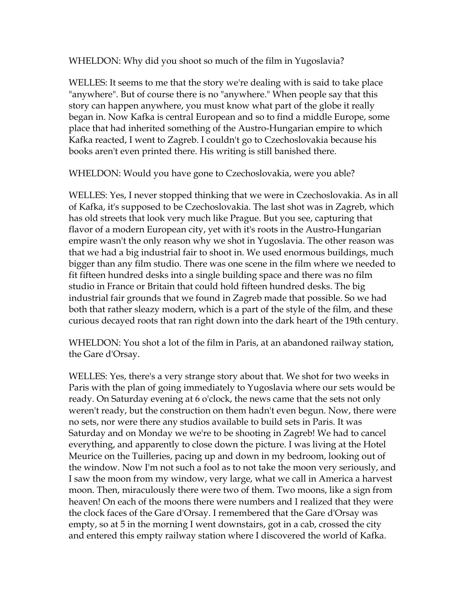WHELDON: Why did you shoot so much of the film in Yugoslavia?

WELLES: It seems to me that the story we're dealing with is said to take place "anywhere". But of course there is no "anywhere." When people say that this story can happen anywhere, you must know what part of the globe it really began in. Now Kafka is central European and so to find a middle Europe, some place that had inherited something of the Austro-Hungarian empire to which Kafka reacted, I went to Zagreb. I couldn't go to Czechoslovakia because his books aren't even printed there. His writing is still banished there.

WHELDON: Would you have gone to Czechoslovakia, were you able?

WELLES: Yes, I never stopped thinking that we were in Czechoslovakia. As in all of Kafka, it's supposed to be Czechoslovakia. The last shot was in Zagreb, which has old streets that look very much like Prague. But you see, capturing that flavor of a modern European city, yet with it's roots in the Austro-Hungarian empire wasn't the only reason why we shot in Yugoslavia. The other reason was that we had a big industrial fair to shoot in. We used enormous buildings, much bigger than any film studio. There was one scene in the film where we needed to fit fifteen hundred desks into a single building space and there was no film studio in France or Britain that could hold fifteen hundred desks. The big industrial fair grounds that we found in Zagreb made that possible. So we had both that rather sleazy modern, which is a part of the style of the film, and these curious decayed roots that ran right down into the dark heart of the 19th century.

WHELDON: You shot a lot of the film in Paris, at an abandoned railway station, the Gare d'Orsay.

WELLES: Yes, there's a very strange story about that. We shot for two weeks in Paris with the plan of going immediately to Yugoslavia where our sets would be ready. On Saturday evening at 6 o'clock, the news came that the sets not only weren't ready, but the construction on them hadn't even begun. Now, there were no sets, nor were there any studios available to build sets in Paris. It was Saturday and on Monday we we're to be shooting in Zagreb! We had to cancel everything, and apparently to close down the picture. I was living at the Hotel Meurice on the Tuilleries, pacing up and down in my bedroom, looking out of the window. Now I'm not such a fool as to not take the moon very seriously, and I saw the moon from my window, very large, what we call in America a harvest moon. Then, miraculously there were two of them. Two moons, like a sign from heaven! On each of the moons there were numbers and I realized that they were the clock faces of the Gare d'Orsay. I remembered that the Gare d'Orsay was empty, so at 5 in the morning I went downstairs, got in a cab, crossed the city and entered this empty railway station where I discovered the world of Kafka.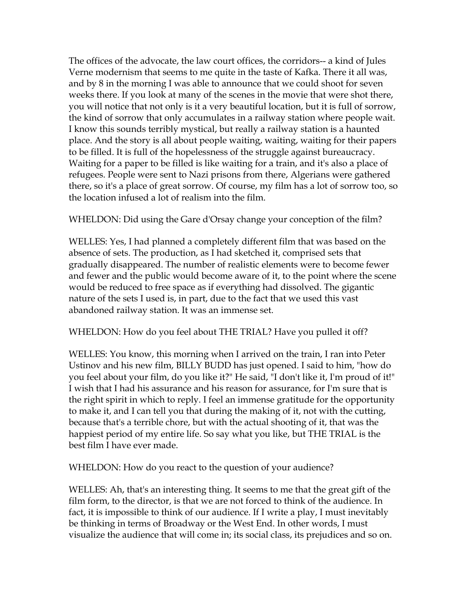The offices of the advocate, the law court offices, the corridors-- a kind of Jules Verne modernism that seems to me quite in the taste of Kafka. There it all was, and by 8 in the morning I was able to announce that we could shoot for seven weeks there. If you look at many of the scenes in the movie that were shot there, you will notice that not only is it a very beautiful location, but it is full of sorrow, the kind of sorrow that only accumulates in a railway station where people wait. I know this sounds terribly mystical, but really a railway station is a haunted place. And the story is all about people waiting, waiting, waiting for their papers to be filled. It is full of the hopelessness of the struggle against bureaucracy. Waiting for a paper to be filled is like waiting for a train, and it's also a place of refugees. People were sent to Nazi prisons from there, Algerians were gathered there, so it's a place of great sorrow. Of course, my film has a lot of sorrow too, so the location infused a lot of realism into the film.

WHELDON: Did using the Gare d'Orsay change your conception of the film?

WELLES: Yes, I had planned a completely different film that was based on the absence of sets. The production, as I had sketched it, comprised sets that gradually disappeared. The number of realistic elements were to become fewer and fewer and the public would become aware of it, to the point where the scene would be reduced to free space as if everything had dissolved. The gigantic nature of the sets I used is, in part, due to the fact that we used this vast abandoned railway station. It was an immense set.

#### WHELDON: How do you feel about THE TRIAL? Have you pulled it off?

WELLES: You know, this morning when I arrived on the train, I ran into Peter Ustinov and his new film, BILLY BUDD has just opened. I said to him, "how do you feel about your film, do you like it?" He said, "I don't like it, I'm proud of it!" I wish that I had his assurance and his reason for assurance, for I'm sure that is the right spirit in which to reply. I feel an immense gratitude for the opportunity to make it, and I can tell you that during the making of it, not with the cutting, because that's a terrible chore, but with the actual shooting of it, that was the happiest period of my entire life. So say what you like, but THE TRIAL is the best film I have ever made.

WHELDON: How do you react to the question of your audience?

WELLES: Ah, that's an interesting thing. It seems to me that the great gift of the film form, to the director, is that we are not forced to think of the audience. In fact, it is impossible to think of our audience. If I write a play, I must inevitably be thinking in terms of Broadway or the West End. In other words, I must visualize the audience that will come in; its social class, its prejudices and so on.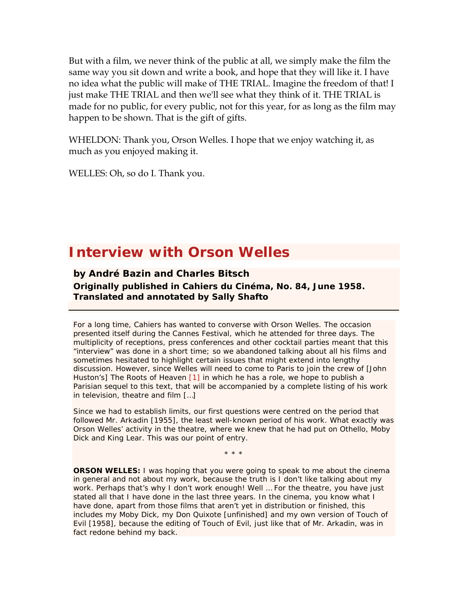But with a film, we never think of the public at all, we simply make the film the same way you sit down and write a book, and hope that they will like it. I have no idea what the public will make of THE TRIAL. Imagine the freedom of that! I just make THE TRIAL and then we'll see what they think of it. THE TRIAL is made for no public, for every public, not for this year, for as long as the film may happen to be shown. That is the gift of gifts.

WHELDON: Thank you, Orson Welles. I hope that we enjoy watching it, as much as you enjoyed making it.

WELLES: Oh, so do I. Thank you.

## **Interview with Orson Welles**

**by André Bazin and Charles Bitsch Originally published in** *Cahiers du Cinéma***, No. 84, June 1958. Translated and annotated by Sally Shafto** 

For a long time, *Cahiers* has wanted to converse with Orson Welles. The occasion presented itself during the Cannes Festival, which he attended for three days. The multiplicity of receptions, press conferences and other cocktail parties meant that this "interview" was done in a short time; so we abandoned talking about all his films and sometimes hesitated to highlight certain issues that might extend into lengthy discussion. However, since Welles will need to come to Paris to join the crew of [John Huston's] *The Roots of Heaven* [1] in which he has a role, we hope to publish a Parisian sequel to this text, that will be accompanied by a complete listing of his work in television, theatre and film […]

Since we had to establish limits, our first questions were centred on the period that followed *Mr. Arkadin* [1955], the least well-known period of his work. What exactly was Orson Welles' activity in the theatre, where we knew that he had put on *Othello*, *Moby Dick* and *King Lear*. This was our point of entry.

\* \* \*

**ORSON WELLES:** I was hoping that you were going to speak to me about the cinema in general and not about my work, because the truth is I don't like talking about my work. Perhaps that's why I don't work enough! Well … For the theatre, you have just stated all that I have done in the last three years. In the cinema, you know what I have done, apart from those films that aren't yet in distribution or finished, this includes my *Moby Dick*, my *Don Quixote* [unfinished] and my own version of *Touch of Evil* [1958], because the editing of *Touch of Evil*, just like that of *Mr. Arkadin*, was in fact redone behind my back.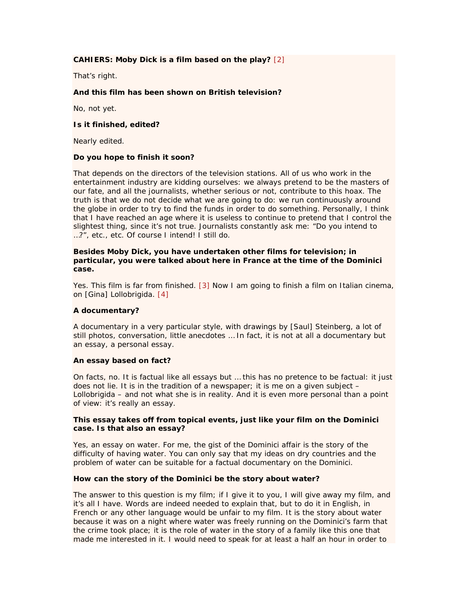#### **CAHIERS:** *Moby Dick* **is a film based on the play?** [2]

That's right.

#### **And this film has been shown on British television?**

No, not yet.

#### **Is it finished, edited?**

Nearly edited.

#### **Do you hope to finish it soon?**

That depends on the directors of the television stations. All of us who work in the entertainment industry are kidding ourselves: we always pretend to be the masters of our fate, and all the journalists, whether serious or not, contribute to this hoax. The truth is that we do not decide what we are going to do: we run continuously around the globe in order to try to find the funds in order to do something. Personally, I think that I have reached an age where it is useless to continue to pretend that I control the slightest thing, since it's not true. Journalists constantly ask me: "Do you intend to …?", etc., etc. Of course I intend! I still do.

#### **Besides** *Moby Dick***, you have undertaken other films for television; in particular, you were talked about here in France at the time of the Dominici case.**

Yes. This film is far from finished. [3] Now I am going to finish a film on Italian cinema, on [Gina] Lollobrigida. [4]

#### **A documentary?**

A documentary in a very particular style, with drawings by [Saul] Steinberg, a lot of still photos, conversation, little anecdotes … In fact, it is not at all a documentary but an essay, a personal essay.

#### **An essay based on fact?**

On facts, no. It is factual like all essays but … this has no pretence to be factual: it just does not lie. It is in the tradition of a newspaper; it is me on a given subject – Lollobrigida – and not what she is in reality. And it is even more personal than a point of view: it's really an essay.

#### **This essay takes off from topical events, just like your film on the Dominici case. Is that also an essay?**

Yes, an essay on water. For me, the gist of the Dominici affair is the story of the difficulty of having water. You can only say that my ideas on dry countries and the problem of water can be suitable for a factual documentary on the Dominici.

#### **How can the story of the Dominici be the story about water?**

The answer to this question is my film; if I give it to you, I will give away my film, and it's all I have. Words are indeed needed to explain that, but to do it in English, in French or any other language would be unfair to my film. It is the story about water because it was on a night where water was freely running on the Dominici's farm that the crime took place; it is the role of water in the story of a family like this one that made me interested in it. I would need to speak for at least a half an hour in order to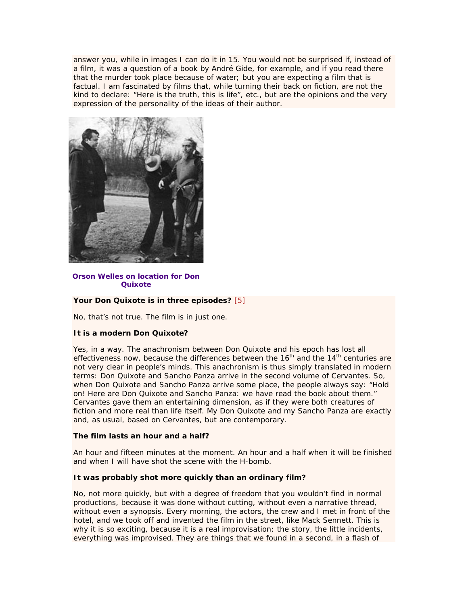answer you, while in images I can do it in 15. You would not be surprised if, instead of a film, it was a question of a book by André Gide, for example, and if you read there that the murder took place because of water; but you are expecting a film that is factual. I am fascinated by films that, while turning their back on fiction, are not the kind to declare: "Here is the truth, this is life", etc., but are the opinions and the very expression of the personality of the ideas of their author.



**Orson Welles on location for** *Don Quixote*

#### **Your** *Don Quixote* **is in three episodes?** [5]

No, that's not true. The film is in just one.

#### **It is a modern** *Don Quixote***?**

Yes, in a way. The anachronism between Don Quixote and his epoch has lost all effectiveness now, because the differences between the  $16<sup>th</sup>$  and the  $14<sup>th</sup>$  centuries are not very clear in people's minds. This anachronism is thus simply translated in modern terms: Don Quixote and Sancho Panza arrive in the second volume of Cervantes. So, when Don Quixote and Sancho Panza arrive some place, the people always say: "Hold on! Here are Don Quixote and Sancho Panza: we have read the book about them." Cervantes gave them an entertaining dimension, as if they were both creatures of fiction and more real than life itself. My Don Quixote and my Sancho Panza are exactly and, as usual, based on Cervantes, but are contemporary.

#### **The film lasts an hour and a half?**

An hour and fifteen minutes at the moment. An hour and a half when it will be finished and when I will have shot the scene with the H-bomb.

#### **It was probably shot more quickly than an ordinary film?**

No, not more quickly, but with a degree of freedom that you wouldn't find in normal productions, because it was done without cutting, without even a narrative thread, without even a synopsis. Every morning, the actors, the crew and I met in front of the hotel, and we took off and invented the film in the street, like Mack Sennett. This is why it is so exciting, because it is a real improvisation; the story, the little incidents, everything was improvised. They are things that we found in a second, in a flash of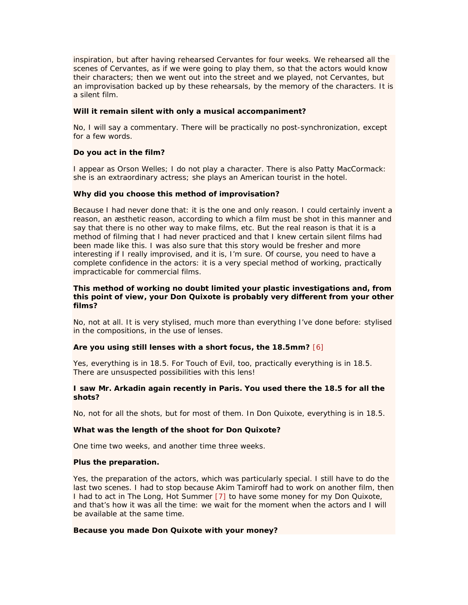inspiration, but after having rehearsed Cervantes for four weeks. We rehearsed all the scenes of Cervantes, as if we were going to play them, so that the actors would know their characters; then we went out into the street and we played, not Cervantes, but an improvisation backed up by these rehearsals, by the memory of the characters. It is a silent film.

#### **Will it remain silent with only a musical accompaniment?**

No, I will say a commentary. There will be practically no post-synchronization, except for a few words.

#### **Do you act in the film?**

I appear as Orson Welles; I do not play a character. There is also Patty MacCormack: she is an extraordinary actress; she plays an American tourist in the hotel.

#### **Why did you choose this method of improvisation?**

Because I had never done that: it is the one and only reason. I could certainly invent a reason, an æsthetic reason, according to which a film must be shot in this manner and say that there is no other way to make films, etc. But the real reason is that it is a method of filming that I had never practiced and that I knew certain silent films had been made like this. I was also sure that this story would be fresher and more interesting if I really improvised, and it is, I'm sure. Of course, you need to have a complete confidence in the actors: it is a very special method of working, practically impracticable for commercial films.

#### **This method of working no doubt limited your plastic investigations and, from this point of view, your** *Don Quixote* **is probably very different from your other films?**

No, not at all. It is very stylised, much more than everything I've done before: stylised in the compositions, in the use of lenses.

#### **Are you using still lenses with a short focus, the 18.5mm?** [6]

Yes, everything is in 18.5. For *Touch of Evil*, too, practically everything is in 18.5. There are unsuspected possibilities with this lens!

#### **I saw** *Mr. Arkadin* **again recently in Paris. You used there the 18.5 for all the shots?**

No, not for all the shots, but for most of them. In *Don Quixote*, everything is in 18.5.

#### **What was the length of the shoot for** *Don Quixote***?**

One time two weeks, and another time three weeks.

#### **Plus the preparation.**

Yes, the preparation of the actors, which was particularly special. I still have to do the last two scenes. I had to stop because Akim Tamiroff had to work on another film, then I had to act in *The Long, Hot Summer* [7] to have some money for my *Don Quixote*, and that's how it was all the time: we wait for the moment when the actors and I will be available at the same time.

#### **Because you made** *Don Quixote* **with your money?**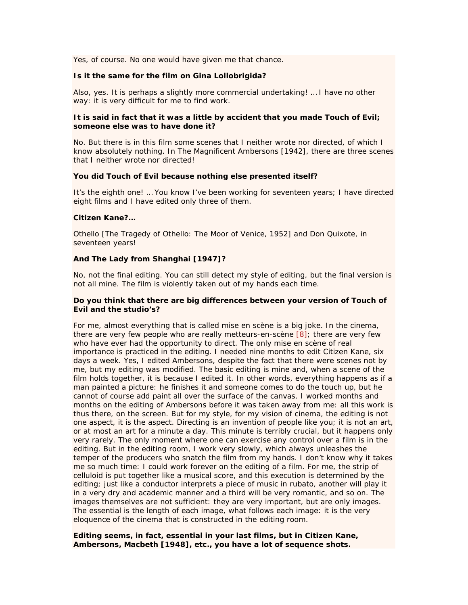Yes, of course. No one would have given me that chance.

#### **Is it the same for the film on Gina Lollobrigida?**

Also, yes. It is perhaps a slightly more commercial undertaking! … I have no other way: it is very difficult for me to find work.

#### **It is said in fact that it was a little by accident that you made** *Touch of Evil***; someone else was to have done it?**

No. But there is in this film some scenes that I neither wrote nor directed, of which I know absolutely nothing. In *The Magnificent Ambersons* [1942], there are three scenes that I neither wrote nor directed!

#### **You did** *Touch of Evil* **because nothing else presented itself?**

It's the eighth one! … You know I've been working for seventeen years; I have directed eight films and I have edited only three of them.

#### *Citizen Kane***?…**

*Othello* [*The Tragedy of Othello: The Moor of Venice*, 1952] and *Don Quixote*, in seventeen years!

#### **And** *The Lady from Shanghai* **[1947]?**

No, not the final editing. You can still detect my style of editing, but the final version is not all mine. The film is violently taken out of my hands each time.

#### **Do you think that there are big differences between your version of** *Touch of Evil* **and the studio's?**

For me, almost everything that is called *mise en scène* is a big joke. In the cinema, there are very few people who are really *metteurs-en-scène* [8]; there are very few who have ever had the opportunity to direct. The only *mise en scène* of real importance is practiced in the editing. I needed nine months to edit *Citizen Kane*, six days a week. Yes, I edited *Ambersons*, despite the fact that there were scenes not by me, but my editing was modified. The basic editing is mine and, when a scene of the film holds together, it is because I edited it. In other words, everything happens as if a man painted a picture: he finishes it and someone comes to do the touch up, but he cannot of course add paint all over the surface of the canvas. I worked months and months on the editing of *Ambersons* before it was taken away from me: all this work is thus there, on the screen. But for my style, for my vision of cinema, the editing is not one aspect, *it is the aspect*. Directing is an invention of people like you; it is not an art, or at most an art for a minute a day. This minute is terribly crucial, but it happens only very rarely. The only moment where one can exercise any control over a film is in the editing. But in the editing room, I work very slowly, which always unleashes the temper of the producers who snatch the film from my hands. I don't know why it takes me so much time: I could work forever on the editing of a film. For me, the strip of celluloid is put together like a musical score, and this execution is determined by the editing; just like a conductor interprets a piece of music in rubato, another will play it in a very dry and academic manner and a third will be very romantic, and so on. The images themselves are not sufficient: they are very important, but are only images. The essential is the length of each image, what follows each image: it is the very eloquence of the cinema that is constructed in the editing room.

#### **Editing seems, in fact, essential in your last films, but in** *Citizen Kane***,**  *Ambersons***,** *Macbeth* **[1948], etc., you have a lot of sequence shots.**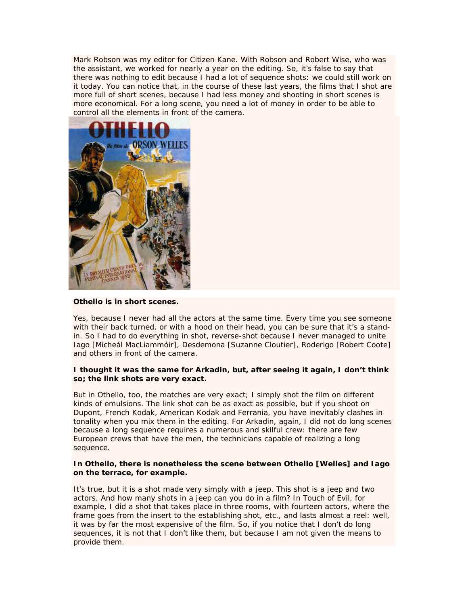Mark Robson was my editor for *Citizen Kane*. With Robson and Robert Wise, who was the assistant, we worked for nearly a year on the editing. So, it's false to say that there was nothing to edit because I had a lot of sequence shots: we could still work on it today. You can notice that, in the course of these last years, the films that I shot are more full of short scenes, because I had less money and shooting in short scenes is more economical. For a long scene, you need a lot of money in order to be able to control all the elements in front of the camera.



#### *Othello* **is in short scenes.**

Yes, because I never had all the actors at the same time. Every time you see someone with their back turned, or with a hood on their head, you can be sure that it's a standin. So I had to do everything in shot, reverse-shot because I never managed to unite Iago [Micheál MacLiammóir], Desdemona [Suzanne Cloutier], Roderigo [Robert Coote] and others in front of the camera.

#### **I thought it was the same for** *Arkadin***, but, after seeing it again, I don't think so; the link shots are very exact.**

But in *Othello*, too, the matches are very exact; I simply shot the film on different kinds of emulsions. The link shot can be as exact as possible, but if you shoot on Dupont, French Kodak, American Kodak and Ferrania, you have inevitably clashes in tonality when you mix them in the editing. For *Arkadin*, again, I did not do long scenes because a long sequence requires a numerous and skilful crew: there are few European crews that have the men, the technicians capable of realizing a long sequence.

#### **In** *Othello***, there is nonetheless the scene between Othello [Welles] and Iago on the terrace, for example.**

It's true, but it is a shot made very simply with a jeep. This shot is a jeep and two actors. And how many shots in a jeep can you do in a film? In *Touch of Evil*, for example, I did a shot that takes place in three rooms, with fourteen actors, where the frame goes from the insert to the establishing shot, etc., and lasts almost a reel: well, it was by far the most expensive of the film. So, if you notice that I don't do long sequences, it is not that I don't like them, but because I am not given the means to provide them.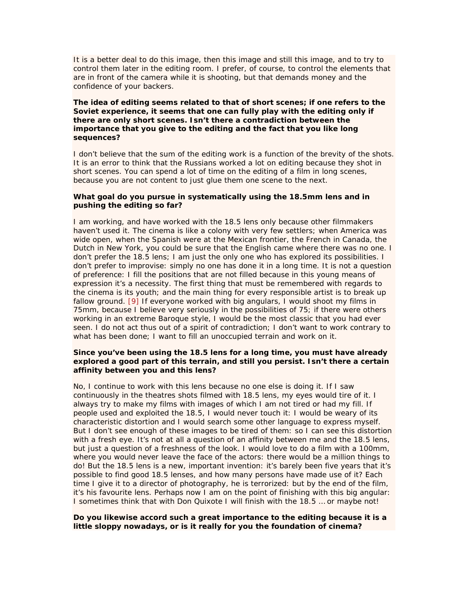It is a better deal to do this image, then this image and still this image, and to try to control them later in the editing room. I prefer, of course, to control the elements that are in front of the camera while it is shooting, but that demands money and the confidence of your backers.

#### **The idea of editing seems related to that of short scenes; if one refers to the Soviet experience, it seems that one can fully play with the editing only if there are only short scenes. Isn't there a contradiction between the importance that you give to the editing and the fact that you like long sequences?**

I don't believe that the sum of the editing work is a function of the brevity of the shots. It is an error to think that the Russians worked a lot on editing because they shot in short scenes. You can spend a lot of time on the editing of a film in long scenes, because you are not content to just glue them one scene to the next.

#### **What goal do you pursue in systematically using the 18.5mm lens and in pushing the editing so far?**

I am working, and have worked with the 18.5 lens only because other filmmakers haven't used it. The cinema is like a colony with very few settlers; when America was wide open, when the Spanish were at the Mexican frontier, the French in Canada, the Dutch in New York, you could be sure that the English came where there was no one. I don't prefer the 18.5 lens; I am just the only one who has explored its possibilities. I don't prefer to improvise: simply no one has done it in a long time. It is not a question of preference: I fill the positions that are not filled because in this young means of expression it's a necessity. The first thing that must be remembered with regards to the cinema is its youth; and the main thing for every responsible artist is to break up fallow ground. [9] If everyone worked with big angulars, I would shoot my films in 75mm, because I believe very seriously in the possibilities of 75; if there were others working in an extreme Baroque style, I would be the most classic that you had ever seen. I do not act thus out of a spirit of contradiction; I don't want to work contrary to what has been done; I want to fill an unoccupied terrain and work on it.

#### **Since you've been using the 18.5 lens for a long time, you must have already explored a good part of this terrain, and still you persist. Isn't there a certain affinity between you and this lens?**

No, I continue to work with this lens because no one else is doing it. If I saw continuously in the theatres shots filmed with 18.5 lens, my eyes would tire of it. I always try to make my films with images of which I am not tired or had my fill. If people used and exploited the 18.5, I would never touch it: I would be weary of its characteristic distortion and I would search some other language to express myself. But I don't see enough of these images to be tired of them: so I can see this distortion with a fresh eye. It's not at all a question of an affinity between me and the 18.5 lens, but just a question of a freshness of the look. I would love to do a film with a 100mm, where you would never leave the face of the actors: there would be a million things to do! But the 18.5 lens is a new, important invention: it's barely been five years that it's possible to find good 18.5 lenses, and how many persons have made use of it? Each time I give it to a director of photography, he is terrorized: but by the end of the film, it's his favourite lens. Perhaps now I am on the point of finishing with this big angular: I sometimes think that with *Don Quixote* I will finish with the 18.5 … or maybe not!

#### **Do you likewise accord such a great importance to the editing because it is a little sloppy nowadays, or is it really for you the foundation of cinema?**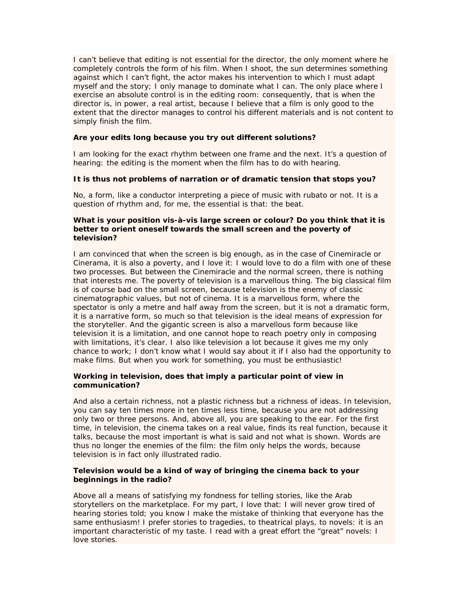I can't believe that editing is not essential for the director, the only moment where he completely controls the form of his film. When I shoot, the sun determines something against which I can't fight, the actor makes his intervention to which I must adapt myself and the story; I only manage to dominate what I can. The only place where I exercise an absolute control is in the editing room: consequently, that is when the director is, in power, a real artist, because I believe that a film is only good to the extent that the director manages to control his different materials and is not content to simply finish the film.

#### **Are your edits long because you try out different solutions?**

I am looking for the exact rhythm between one frame and the next. It's a question of hearing: the editing is the moment when the film has to do with hearing.

#### **It is thus not problems of narration or of dramatic tension that stops you?**

No, a form, like a conductor interpreting a piece of music with rubato or not. It is a question of rhythm and, for me, the essential is that: the beat.

#### **What is your position vis-à-vis large screen or colour? Do you think that it is better to orient oneself towards the small screen and the poverty of television?**

I am convinced that when the screen is big enough, as in the case of Cinemiracle or Cinerama, it is also a poverty, and I love it: I would love to do a film with one of these two processes. But between the Cinemiracle and the normal screen, there is nothing that interests me. The poverty of television is a marvellous thing. The big classical film is of course bad on the small screen, because television is the enemy of classic cinematographic values, but not of cinema. It is a marvellous form, where the spectator is only a metre and half away from the screen, but it is not a dramatic form, it is a narrative form, so much so that television is the ideal means of expression for the storyteller. And the gigantic screen is also a marvellous form because like television it is a limitation, and one cannot hope to reach poetry only in composing with limitations, it's clear. I also like television a lot because it gives me my only chance to work; I don't know what I would say about it if I also had the opportunity to make films. But when you work for something, you must be enthusiastic!

#### **Working in television, does that imply a particular point of view in communication?**

And also a certain richness, not a plastic richness but a richness of ideas. In television, you can say ten times more in ten times less time, because you are not addressing only two or three persons. And, above all, you are speaking to the ear. For the first time, in television, the cinema takes on a real value, finds its real function, because it talks, because the most important is what is said and not what is shown. Words are thus no longer the enemies of the film: the film only helps the words, because television is in fact only illustrated radio.

#### **Television would be a kind of way of bringing the cinema back to your beginnings in the radio?**

Above all a means of satisfying my fondness for telling stories, like the Arab storytellers on the marketplace. For my part, I love that: I will never grow tired of hearing stories told; you know I make the mistake of thinking that everyone has the same enthusiasm! I prefer stories to tragedies, to theatrical plays, to novels: it is an important characteristic of my taste. I read with a great effort the "great" novels: I love stories.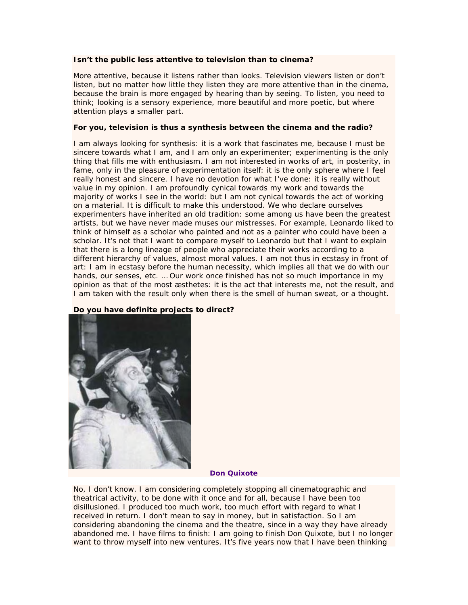#### **Isn't the public less attentive to television than to cinema?**

More attentive, because it listens rather than looks. Television viewers listen or don't listen, but no matter how little they listen they are more attentive than in the cinema, because the brain is more engaged by hearing than by seeing. To listen, you need to think; looking is a sensory experience, more beautiful and more poetic, but where attention plays a smaller part.

#### **For you, television is thus a synthesis between the cinema and the radio?**

I am always looking for synthesis: it is a work that fascinates me, because I must be sincere towards what I am, and I am only an experimenter; experimenting is the only thing that fills me with enthusiasm. I am not interested in works of art, in posterity, in fame, only in the pleasure of experimentation itself: it is the only sphere where I feel really honest and sincere. I have no devotion for what I've done: it is really without value in my opinion. I am profoundly cynical towards my work and towards the majority of works I see in the world: but I am not cynical towards the act of working on a material. It is difficult to make this understood. We who declare ourselves experimenters have inherited an old tradition: some among us have been the greatest artists, but we have never made muses our mistresses. For example, Leonardo liked to think of himself as a scholar who painted and not as a painter who could have been a scholar. It's not that I want to compare myself to Leonardo but that I want to explain that there is a long lineage of people who appreciate their works according to a different hierarchy of values, almost moral values. I am not thus in ecstasy in front of art: I am in ecstasy before the human necessity, which implies all that we do with our hands, our senses, etc. … Our work once finished has not so much importance in my opinion as that of the most æsthetes: it is the act that interests me, not the result, and I am taken with the result only when there is the smell of human sweat, or a thought.

#### **Do you have definite projects to direct?**



#### *Don Quixote*

No, I don't know. I am considering completely stopping all cinematographic and theatrical activity, to be done with it once and for all, because I have been too disillusioned. I produced too much work, too much effort with regard to what I received in return. I don't mean to say in money, but in satisfaction. So I am considering abandoning the cinema and the theatre, since in a way they have already abandoned me. I have films to finish: I am going to finish *Don Quixote*, but I no longer want to throw myself into new ventures. It's five years now that I have been thinking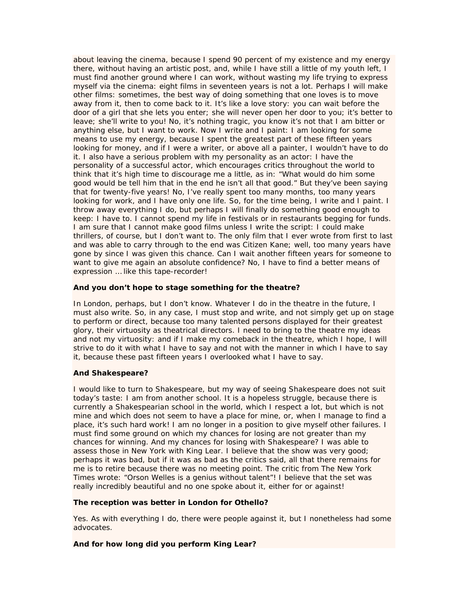about leaving the cinema, because I spend 90 percent of my existence and my energy there, without having an artistic post, and, while I have still a little of my youth left, I must find another ground where I can work, without wasting my life trying to express myself via the cinema: eight films in seventeen years is not a lot. Perhaps I will make other films: sometimes, the best way of doing something that one loves is to move away from it, then to come back to it. It's like a love story: you can wait before the door of a girl that she lets you enter; she will never open her door to you; it's better to leave; she'll write to you! No, it's nothing tragic, you know it's not that I am bitter or anything else, but I want to work. Now I write and I paint: I am looking for some means to use my energy, because I spent the greatest part of these fifteen years looking for money, and if I were a writer, or above all a painter, I wouldn't have to do it. I also have a serious problem with my personality as an actor: I have the personality of a successful actor, which encourages critics throughout the world to think that it's high time to discourage me a little, as in: "What would do him some good would be tell him that in the end he isn't all that good." But they've been saying that for twenty-five years! No, I've really spent too many months, too many years looking for work, and I have only one life. So, for the time being, I write and I paint. I throw away everything I do, but perhaps I will finally do something good enough to keep: I have to. I cannot spend my life in festivals or in restaurants begging for funds. I am sure that I cannot make good films unless I write the script: I could make thrillers, of course, but I don't want to. The only film that I ever wrote from first to last and was able to carry through to the end was *Citizen Kane*; well, too many years have gone by since I was given this chance. Can I wait another fifteen years for someone to want to give me again an absolute confidence? No, I have to find a better means of expression … like this tape-recorder!

#### **And you don't hope to stage something for the theatre?**

In London, perhaps, but I don't know. Whatever I do in the theatre in the future, I must also write. So, in any case, I must stop and write, and not simply get up on stage to perform or direct, because too many talented persons displayed for their greatest glory, their virtuosity as theatrical directors. I need to bring to the theatre my ideas and not my virtuosity: and if I make my comeback in the theatre, which I hope, I will strive to do it with what I have to say and not with the manner in which I have to say it, because these past fifteen years I overlooked what I have to say.

#### **And Shakespeare?**

I would like to turn to Shakespeare, but my way of seeing Shakespeare does not suit today's taste: I am from another school. It is a hopeless struggle, because there is currently a Shakespearian school in the world, which I respect a lot, but which is not mine and which does not seem to have a place for mine, or, when I manage to find a place, it's such hard work! I am no longer in a position to give myself other failures. I must find some ground on which my chances for losing are not greater than my chances for winning. And my chances for losing with Shakespeare? I was able to assess those in New York with *King Lear*. I believe that the show was very good; perhaps it was bad, but if it was as bad as the critics said, all that there remains for me is to retire because there was no meeting point. The critic from *The New York Times* wrote: "Orson Welles is a genius without talent"! I believe that the set was really incredibly beautiful and no one spoke about it, either for or against!

#### **The reception was better in London for** *Othello***?**

Yes. As with everything I do, there were people against it, but I nonetheless had some advocates.

#### **And for how long did you perform** *King Lear***?**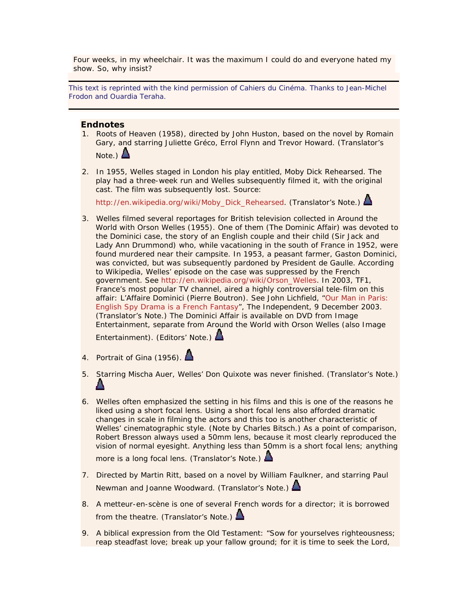Four weeks, in my wheelchair. It was the maximum I could do and everyone hated my show. So, why insist?

This text is reprinted with the kind permission of *Cahiers du Cinéma*. Thanks to Jean-Michel Frodon and Ouardia Teraha.

#### **Endnotes**

- 1. *Roots of Heaven* (1958), directed by John Huston, based on the novel by Romain Gary, and starring Juliette Gréco, Errol Flynn and Trevor Howard. (Translator's Note.)  $\Delta$
- 2. In 1955, Welles staged in London his play entitled, *Moby Dick Rehearsed*. The play had a three-week run and Welles subsequently filmed it, with the original cast. The film was subsequently lost. Source:

http://en.wikipedia.org/wiki/Moby\_Dick\_Rehearsed. (Translator's Note.)  $\triangle$ 

3. Welles filmed several reportages for British television collected in *Around the World with Orson Welles* (1955). One of them (*The Dominic Affair*) was devoted to the Dominici case, the story of an English couple and their child (Sir Jack and Lady Ann Drummond) who, while vacationing in the south of France in 1952, were found murdered near their campsite. In 1953, a peasant farmer, Gaston Dominici, was convicted, but was subsequently pardoned by President de Gaulle. According to *Wikipedia*, Welles' episode on the case was suppressed by the French government. See http://en.wikipedia.org/wiki/Orson\_Welles. In 2003, TF1, France's most popular TV channel, aired a highly controversial tele-film on this affair: *L'Affaire Dominici* (Pierre Boutron). See John Lichfield, "Our Man in Paris: English Spy Drama is a French Fantasy", *The Independent*, 9 December 2003. (Translator's Note.) *The Dominici Affair* is available on DVD from Image Entertainment, separate from *Around the World with Orson Welles* (also Image

Entertainment). (Editors' Note.)

- 4. *Portrait of Gina* (1956).
- 5. Starring Mischa Auer, Welles' *Don Quixote* was never finished. (Translator's Note.)
- 6. Welles often emphasized the setting in his films and this is one of the reasons he liked using a short focal lens. Using a short focal lens also afforded dramatic changes in scale in filming the actors and this too is another characteristic of Welles' cinematographic style. (Note by Charles Bitsch.) As a point of comparison, Robert Bresson always used a 50mm lens, because it most clearly reproduced the vision of normal eyesight. Anything less than 50mm is a short focal lens; anything more is a long focal lens. (Translator's Note.)
- 7. Directed by Martin Ritt, based on a novel by William Faulkner, and starring Paul Newman and Joanne Woodward. (Translator's Note.) **△**
- 8. A *metteur-en-scène* is one of several French words for a director; it is borrowed from the theatre. (Translator's Note.)
- 9. A biblical expression from the Old Testament: "Sow for yourselves righteousness; reap steadfast love; break up your fallow ground; for it is time to seek the Lord,